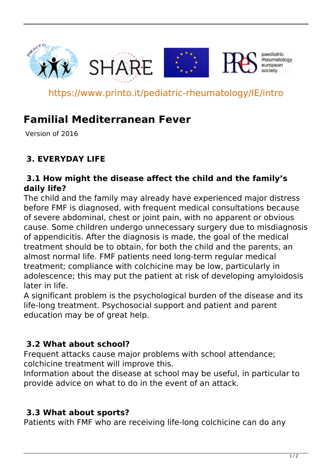

https://www.printo.it/pediatric-rheumatology/IE/intro

# **Familial Mediterranean Fever**

Version of 2016

# **3. EVERYDAY LIFE**

#### **3.1 How might the disease affect the child and the family's daily life?**

The child and the family may already have experienced major distress before FMF is diagnosed, with frequent medical consultations because of severe abdominal, chest or joint pain, with no apparent or obvious cause. Some children undergo unnecessary surgery due to misdiagnosis of appendicitis. After the diagnosis is made, the goal of the medical treatment should be to obtain, for both the child and the parents, an almost normal life. FMF patients need long-term regular medical treatment; compliance with colchicine may be low, particularly in adolescence; this may put the patient at risk of developing amyloidosis later in life.

A significant problem is the psychological burden of the disease and its life-long treatment. Psychosocial support and patient and parent education may be of great help.

#### **3.2 What about school?**

Frequent attacks cause major problems with school attendance; colchicine treatment will improve this.

Information about the disease at school may be useful, in particular to provide advice on what to do in the event of an attack.

#### **3.3 What about sports?**

Patients with FMF who are receiving life-long colchicine can do any